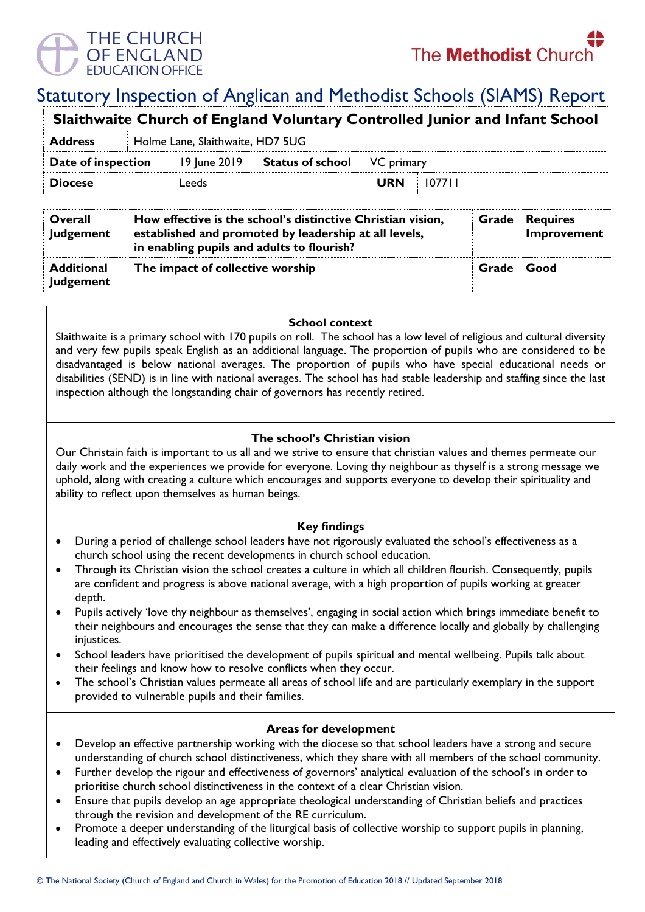

# Statutory Inspection of Anglican and Methodist Schools (SIAMS) Report

| Slaithwaite Church of England Voluntary Controlled Junior and Infant School |                                  |              |                         |            |        |  |  |
|-----------------------------------------------------------------------------|----------------------------------|--------------|-------------------------|------------|--------|--|--|
| <b>Address</b>                                                              | Holme Lane, Slaithwaite, HD7 5UG |              |                         |            |        |  |  |
| Date of inspection                                                          |                                  | 19 June 2019 | <b>Status of school</b> | VC primary |        |  |  |
| <b>Diocese</b>                                                              |                                  | Leeds        |                         | <b>URN</b> | 107711 |  |  |
|                                                                             |                                  |              |                         |            |        |  |  |

| Overall<br>Judgement                  | How effective is the school's distinctive Christian vision,<br>established and promoted by leadership at all levels,<br>in enabling pupils and adults to flourish? |       | <b>Requires</b><br>Improvement |
|---------------------------------------|--------------------------------------------------------------------------------------------------------------------------------------------------------------------|-------|--------------------------------|
| <b>Additional</b><br><b>Judgement</b> | The impact of collective worship                                                                                                                                   | Grade | Good                           |

#### **School context**

Slaithwaite is a primary school with 170 pupils on roll. The school has a low level of religious and cultural diversity and very few pupils speak English as an additional language. The proportion of pupils who are considered to be disadvantaged is below national averages. The proportion of pupils who have special educational needs or disabilities (SEND) is in line with national averages. The school has had stable leadership and staffing since the last inspection although the longstanding chair of governors has recently retired.

## **The school's Christian vision**

Our Christain faith is important to us all and we strive to ensure that christian values and themes permeate our daily work and the experiences we provide for everyone. Loving thy neighbour as thyself is a strong message we uphold, along with creating a culture which encourages and supports everyone to develop their spirituality and ability to reflect upon themselves as human beings.

## **Key findings**

- During a period of challenge school leaders have not rigorously evaluated the school's effectiveness as a church school using the recent developments in church school education.
- Through its Christian vision the school creates a culture in which all children flourish. Consequently, pupils are confident and progress is above national average, with a high proportion of pupils working at greater depth.
- Pupils actively 'love thy neighbour as themselves', engaging in social action which brings immediate benefit to their neighbours and encourages the sense that they can make a difference locally and globally by challenging injustices.
- School leaders have prioritised the development of pupils spiritual and mental wellbeing. Pupils talk about their feelings and know how to resolve conflicts when they occur.
- The school's Christian values permeate all areas of school life and are particularly exemplary in the support provided to vulnerable pupils and their families.

## **Areas for development**

- Develop an effective partnership working with the diocese so that school leaders have a strong and secure understanding of church school distinctiveness, which they share with all members of the school community.
- Further develop the rigour and effectiveness of governors' analytical evaluation of the school's in order to prioritise church school distinctiveness in the context of a clear Christian vision.
- Ensure that pupils develop an age appropriate theological understanding of Christian beliefs and practices through the revision and development of the RE curriculum.
- Promote a deeper understanding of the liturgical basis of collective worship to support pupils in planning, leading and effectively evaluating collective worship.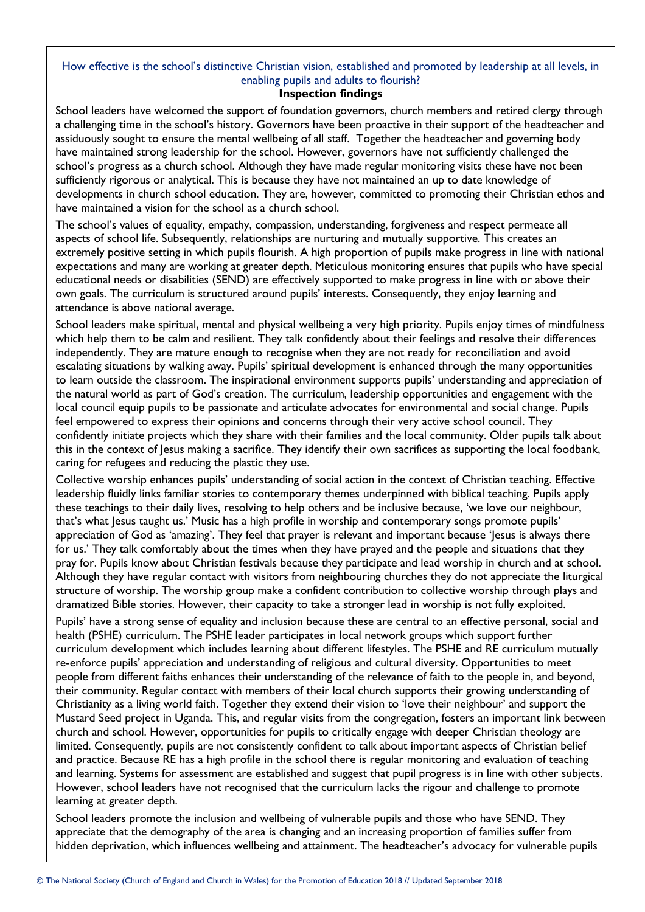# How effective is the school's distinctive Christian vision, established and promoted by leadership at all levels, in enabling pupils and adults to flourish?

#### **Inspection findings**

School leaders have welcomed the support of foundation governors, church members and retired clergy through a challenging time in the school's history. Governors have been proactive in their support of the headteacher and assiduously sought to ensure the mental wellbeing of all staff. Together the headteacher and governing body have maintained strong leadership for the school. However, governors have not sufficiently challenged the school's progress as a church school. Although they have made regular monitoring visits these have not been sufficiently rigorous or analytical. This is because they have not maintained an up to date knowledge of developments in church school education. They are, however, committed to promoting their Christian ethos and have maintained a vision for the school as a church school.

The school's values of equality, empathy, compassion, understanding, forgiveness and respect permeate all aspects of school life. Subsequently, relationships are nurturing and mutually supportive. This creates an extremely positive setting in which pupils flourish. A high proportion of pupils make progress in line with national expectations and many are working at greater depth. Meticulous monitoring ensures that pupils who have special educational needs or disabilities (SEND) are effectively supported to make progress in line with or above their own goals. The curriculum is structured around pupils' interests. Consequently, they enjoy learning and attendance is above national average.

School leaders make spiritual, mental and physical wellbeing a very high priority. Pupils enjoy times of mindfulness which help them to be calm and resilient. They talk confidently about their feelings and resolve their differences independently. They are mature enough to recognise when they are not ready for reconciliation and avoid escalating situations by walking away. Pupils' spiritual development is enhanced through the many opportunities to learn outside the classroom. The inspirational environment supports pupils' understanding and appreciation of the natural world as part of God's creation. The curriculum, leadership opportunities and engagement with the local council equip pupils to be passionate and articulate advocates for environmental and social change. Pupils feel empowered to express their opinions and concerns through their very active school council. They confidently initiate projects which they share with their families and the local community. Older pupils talk about this in the context of Jesus making a sacrifice. They identify their own sacrifices as supporting the local foodbank, caring for refugees and reducing the plastic they use.

Collective worship enhances pupils' understanding of social action in the context of Christian teaching. Effective leadership fluidly links familiar stories to contemporary themes underpinned with biblical teaching. Pupils apply these teachings to their daily lives, resolving to help others and be inclusive because, 'we love our neighbour, that's what Jesus taught us.' Music has a high profile in worship and contemporary songs promote pupils' appreciation of God as 'amazing'. They feel that prayer is relevant and important because 'Jesus is always there for us.' They talk comfortably about the times when they have prayed and the people and situations that they pray for. Pupils know about Christian festivals because they participate and lead worship in church and at school. Although they have regular contact with visitors from neighbouring churches they do not appreciate the liturgical structure of worship. The worship group make a confident contribution to collective worship through plays and dramatized Bible stories. However, their capacity to take a stronger lead in worship is not fully exploited.

Pupils' have a strong sense of equality and inclusion because these are central to an effective personal, social and health (PSHE) curriculum. The PSHE leader participates in local network groups which support further curriculum development which includes learning about different lifestyles. The PSHE and RE curriculum mutually re-enforce pupils' appreciation and understanding of religious and cultural diversity. Opportunities to meet people from different faiths enhances their understanding of the relevance of faith to the people in, and beyond, their community. Regular contact with members of their local church supports their growing understanding of Christianity as a living world faith. Together they extend their vision to 'love their neighbour' and support the Mustard Seed project in Uganda. This, and regular visits from the congregation, fosters an important link between church and school. However, opportunities for pupils to critically engage with deeper Christian theology are limited. Consequently, pupils are not consistently confident to talk about important aspects of Christian belief and practice. Because RE has a high profile in the school there is regular monitoring and evaluation of teaching and learning. Systems for assessment are established and suggest that pupil progress is in line with other subjects. However, school leaders have not recognised that the curriculum lacks the rigour and challenge to promote learning at greater depth.

School leaders promote the inclusion and wellbeing of vulnerable pupils and those who have SEND. They appreciate that the demography of the area is changing and an increasing proportion of families suffer from hidden deprivation, which influences wellbeing and attainment. The headteacher's advocacy for vulnerable pupils